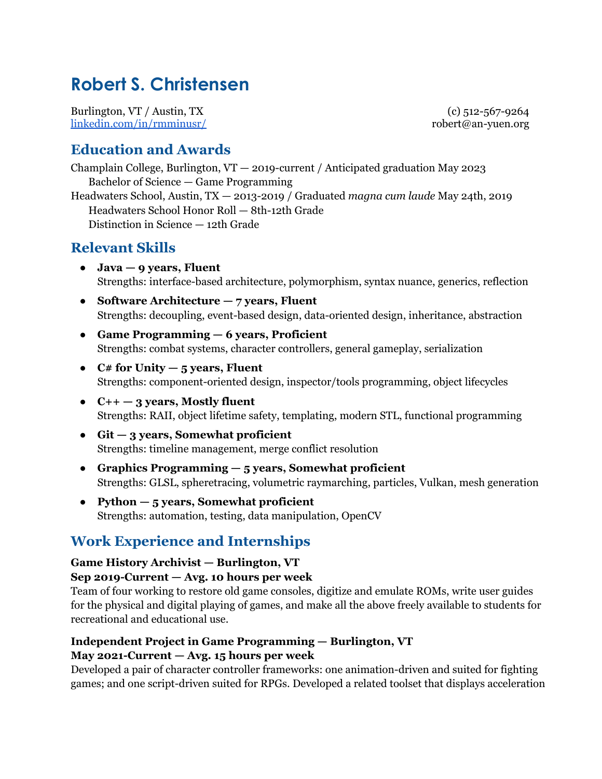# **Robert S. Christensen**

Burlington, VT / Austin, TX [linkedin.com/in/rmminusr/](https://www.linkedin.com/in/rmminusr/)

(c) 512-567-9264 robert@an-yuen.org

## **Education and Awards**

Champlain College, Burlington, VT — 2019-current / Anticipated graduation May 2023 Bachelor of Science — Game Programming

Headwaters School, Austin, TX — 2013-2019 / Graduated *magna cum laude* May 24th, 2019 Headwaters School Honor Roll — 8th-12th Grade Distinction in Science — 12th Grade

## **Relevant Skills**

- **● Java — 9 years, Fluent** Strengths: interface-based architecture, polymorphism, syntax nuance, generics, reflection
- **● Software Architecture — 7 years, Fluent** Strengths: decoupling, event-based design, data-oriented design, inheritance, abstraction
- **● Game Programming — 6 years, Proficient** Strengths: combat systems, character controllers, general gameplay, serialization
- **● C# for Unity — 5 years, Fluent** Strengths: component-oriented design, inspector/tools programming, object lifecycles
- **● C++ — 3 years, Mostly fluent** Strengths: RAII, object lifetime safety, templating, modern STL, functional programming
- **● Git — 3 years, Somewhat proficient** Strengths: timeline management, merge conflict resolution
- **● Graphics Programming — 5 years, Somewhat proficient** Strengths: GLSL, spheretracing, volumetric raymarching, particles, Vulkan, mesh generation
- **● Python — 5 years, Somewhat proficient** Strengths: automation, testing, data manipulation, OpenCV

# **Work Experience and Internships**

#### **Game History Archivist — Burlington, VT**

#### **Sep 2019-Current — Avg. 10 hours per week**

Team of four working to restore old game consoles, digitize and emulate ROMs, write user guides for the physical and digital playing of games, and make all the above freely available to students for recreational and educational use.

#### **Independent Project in Game Programming — Burlington, VT May 2021-Current — Avg. 15 hours per week**

Developed a pair of character controller frameworks: one animation-driven and suited for fighting games; and one script-driven suited for RPGs. Developed a related toolset that displays acceleration